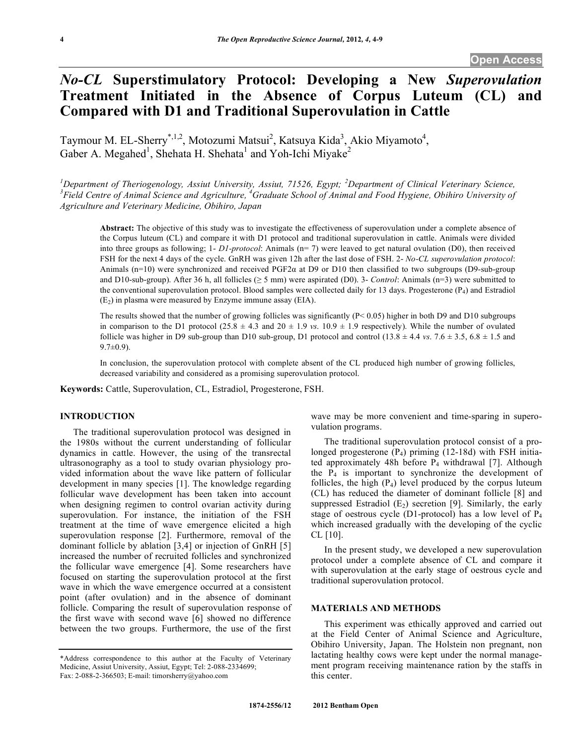# *No-CL* **Superstimulatory Protocol: Developing a New** *Superovulation* **Treatment Initiated in the Absence of Corpus Luteum (CL) and Compared with D1 and Traditional Superovulation in Cattle**

Taymour M. EL-Sherry<sup>\*,1,2</sup>, Motozumi Matsui<sup>2</sup>, Katsuya Kida<sup>3</sup>, Akio Miyamoto<sup>4</sup>, Gaber A. Megahed<sup>1</sup>, Shehata H. Shehata<sup>1</sup> and Yoh-Ichi Miyake<sup>2</sup>

<sup>1</sup>Department of Theriogenology, Assiut University, Assiut, 71526, Egypt; <sup>2</sup>Department of Clinical Veterinary Science,<br><sup>3</sup> Field Centus of Animal Science and Agriculture <sup>4</sup>Craduate School of Animal and Eagel Universe Ob Field Centre of Animal Science and Agriculture, <sup>4</sup>Graduate School of Animal and Food Hygiene, Obihiro University of *Agriculture and Veterinary Medicine, Obihiro, Japan*

**Abstract:** The objective of this study was to investigate the effectiveness of superovulation under a complete absence of the Corpus luteum (CL) and compare it with D1 protocol and traditional superovulation in cattle. Animals were divided into three groups as following; 1- *D1-protocol*: Animals (n= 7) were leaved to get natural ovulation (D0), then received FSH for the next 4 days of the cycle. GnRH was given 12h after the last dose of FSH. 2- *No-CL superovulation protocol*: Animals (n=10) were synchronized and received PGF2α at D9 or D10 then classified to two subgroups (D9-sub-group and D10-sub-group). After 36 h, all follicles ( $\geq$  5 mm) were aspirated (D0). 3- *Control*: Animals (n=3) were submitted to the conventional superovulation protocol. Blood samples were collected daily for 13 days. Progesterone  $(P_4)$  and Estradiol  $(E_2)$  in plasma were measured by Enzyme immune assay (EIA).

The results showed that the number of growing follicles was significantly  $(P< 0.05)$  higher in both D9 and D10 subgroups in comparison to the D1 protocol ( $25.8 \pm 4.3$  and  $20 \pm 1.9$  *vs*.  $10.9 \pm 1.9$  respectively). While the number of ovulated follicle was higher in D9 sub-group than D10 sub-group, D1 protocol and control  $(13.8 \pm 4.4 \text{ v}\text{s}$ .  $7.6 \pm 3.5, 6.8 \pm 1.5$  and  $9.7 \pm 0.9$ ).

In conclusion, the superovulation protocol with complete absent of the CL produced high number of growing follicles, decreased variability and considered as a promising superovulation protocol.

**Keywords:** Cattle, Superovulation, CL, Estradiol, Progesterone, FSH.

## **INTRODUCTION**

The traditional superovulation protocol was designed in the 1980s without the current understanding of follicular dynamics in cattle. However, the using of the transrectal ultrasonography as a tool to study ovarian physiology provided information about the wave like pattern of follicular development in many species [1]. The knowledge regarding follicular wave development has been taken into account when designing regimen to control ovarian activity during superovulation. For instance, the initiation of the FSH treatment at the time of wave emergence elicited a high superovulation response [2]. Furthermore, removal of the dominant follicle by ablation [3,4] or injection of GnRH [5] increased the number of recruited follicles and synchronized the follicular wave emergence [4]. Some researchers have focused on starting the superovulation protocol at the first wave in which the wave emergence occurred at a consistent point (after ovulation) and in the absence of dominant follicle. Comparing the result of superovulation response of the first wave with second wave [6] showed no difference between the two groups. Furthermore, the use of the first

wave may be more convenient and time-sparing in superovulation programs.

The traditional superovulation protocol consist of a prolonged progesterone (P4) priming (12-18d) with FSH initiated approximately 48h before  $P_4$  withdrawal [7]. Although the  $P_4$  is important to synchronize the development of follicles, the high  $(P_4)$  level produced by the corpus luteum (CL) has reduced the diameter of dominant follicle [8] and suppressed Estradiol  $(E_2)$  secretion [9]. Similarly, the early stage of oestrous cycle (D1-protocol) has a low level of P4 which increased gradually with the developing of the cyclic  $CL$  [10].

In the present study, we developed a new superovulation protocol under a complete absence of CL and compare it with superovulation at the early stage of oestrous cycle and traditional superovulation protocol.

# **MATERIALS AND METHODS**

This experiment was ethically approved and carried out at the Field Center of Animal Science and Agriculture, Obihiro University, Japan. The Holstein non pregnant, non lactating healthy cows were kept under the normal management program receiving maintenance ration by the staffs in this center.

<sup>\*</sup>Address correspondence to this author at the Faculty of Veterinary Medicine, Assiut University, Assiut, Egypt; Tel: 2-088-2334699; Fax: 2-088-2-366503; E-mail: timorsherry@yahoo.com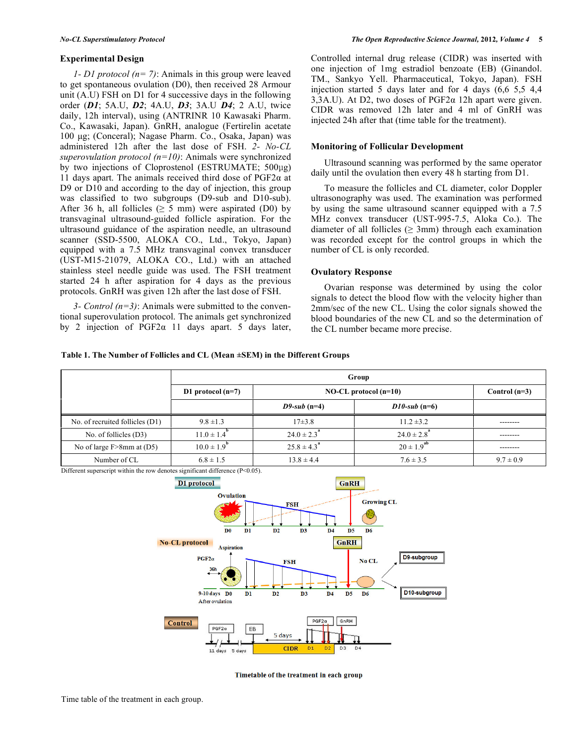## **Experimental Design**

*1- D1 protocol (n= 7)*: Animals in this group were leaved to get spontaneous ovulation (D0), then received 28 Armour unit (A.U) FSH on D1 for 4 successive days in the following order (*D1*; 5A.U, *D2*; 4A.U, *D3*; 3A.U *D4*; 2 A.U, twice daily, 12h interval), using (ANTRINR 10 Kawasaki Pharm. Co., Kawasaki, Japan). GnRH, analogue (Fertirelin acetate 100 µg; (Conceral); Nagase Pharm. Co., Osaka, Japan) was administered 12h after the last dose of FSH. *2- No-CL superovulation protocol (n=10)*: Animals were synchronized by two injections of Cloprostenol (ESTRUMATE; 500µg) 11 days apart. The animals received third dose of  $PGF2\alpha$  at D<sub>9</sub> or D<sub>10</sub> and according to the day of injection, this group was classified to two subgroups (D9-sub and D10-sub). After 36 h, all follicles ( $\geq$  5 mm) were aspirated (D0) by transvaginal ultrasound-guided follicle aspiration. For the ultrasound guidance of the aspiration needle, an ultrasound scanner (SSD-5500, ALOKA CO., Ltd., Tokyo, Japan) equipped with a 7.5 MHz transvaginal convex transducer (UST-M15-21079, ALOKA CO., Ltd.) with an attached stainless steel needle guide was used. The FSH treatment started 24 h after aspiration for 4 days as the previous protocols. GnRH was given 12h after the last dose of FSH.

*3- Control (n=3)*: Animals were submitted to the conventional superovulation protocol. The animals get synchronized by 2 injection of  $PGF2\alpha$  11 days apart. 5 days later, Controlled internal drug release (CIDR) was inserted with one injection of 1mg estradiol benzoate (EB) (Ginandol. TM., Sankyo Yell. Pharmaceutical, Tokyo, Japan). FSH injection started 5 days later and for 4 days (6,6 5,5 4,4 3,3A.U). At D2, two doses of PGF2α 12h apart were given. CIDR was removed 12h later and 4 ml of GnRH was injected 24h after that (time table for the treatment).

## **Monitoring of Follicular Development**

Ultrasound scanning was performed by the same operator daily until the ovulation then every 48 h starting from D1.

To measure the follicles and CL diameter, color Doppler ultrasonography was used. The examination was performed by using the same ultrasound scanner equipped with a 7.5 MHz convex transducer (UST-995-7.5, Aloka Co.). The diameter of all follicles ( $\geq$  3mm) through each examination was recorded except for the control groups in which the number of CL is only recorded.

#### **Ovulatory Response**

Ovarian response was determined by using the color signals to detect the blood flow with the velocity higher than 2mm/sec of the new CL. Using the color signals showed the blood boundaries of the new CL and so the determination of the CL number became more precise.

#### **Table 1. The Number of Follicles and CL (Mean ±SEM) in the Different Groups**

|                                 | Group                       |                             |                             |                 |
|---------------------------------|-----------------------------|-----------------------------|-----------------------------|-----------------|
|                                 | D1 protocol $(n=7)$         | $NO-CL$ protocol $(n=10)$   |                             | Control $(n=3)$ |
|                                 |                             | D9-sub $(n=4)$              | $D10$ -sub (n=6)            |                 |
| No. of recruited follicles (D1) | $9.8 \pm 1.3$               | $17\pm3.8$                  | $11.2 \pm 3.2$              | -------         |
| No. of follicles (D3)           | $11.0 \pm 1.4$ <sup>"</sup> | $24.0 \pm 2.3$ <sup>*</sup> | $24.0 \pm 2.8$ <sup>*</sup> |                 |
| No of large $F>8mm$ at (D5)     | $10.0 \pm 1.9$ <sup>"</sup> | $25.8 \pm 4.3$ <sup>*</sup> | $20 \pm 1.9^{ab}$           |                 |
| Number of CL                    | $6.8 \pm 1.5$               | $13.8 \pm 4.4$              | $7.6 \pm 3.5$               | $9.7 \pm 0.9$   |

Different superscript within the row denotes significant difference (P<0.05).



Timetable of the treatment in each group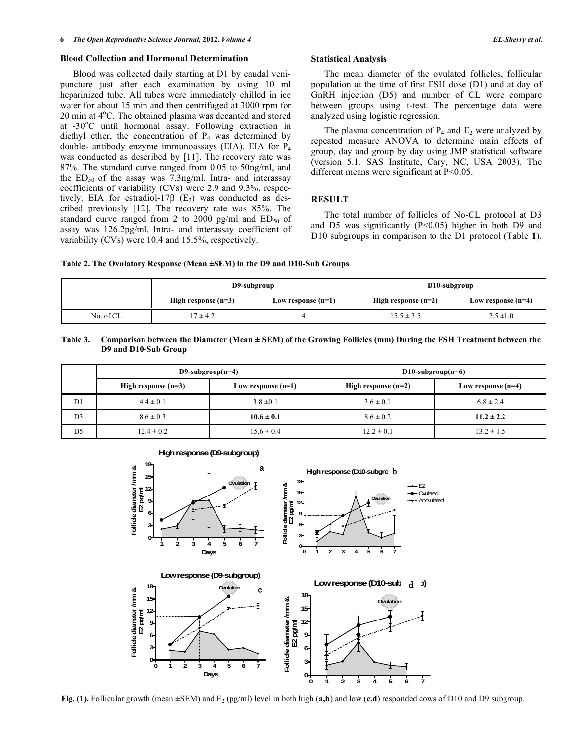#### **Blood Collection and Hormonal Determination**

Blood was collected daily starting at D1 by caudal venipuncture just after each examination by using 10 ml heparinized tube. All tubes were immediately chilled in ice water for about 15 min and then centrifuged at 3000 rpm for 20 min at 4°C. The obtained plasma was decanted and stored at -30°C until hormonal assay. Following extraction in diethyl ether, the concentration of  $P_4$  was determined by double- antibody enzyme immunoassays (EIA). EIA for  $P_4$ was conducted as described by [11]. The recovery rate was 87%. The standard curve ranged from 0.05 to 50ng/ml, and the  $ED_{50}$  of the assay was 7.3ng/ml. Intra- and interassay coefficients of variability (CVs) were 2.9 and 9.3%, respectively. EIA for estradiol-17 $\beta$  (E<sub>2</sub>) was conducted as described previously [12]. The recovery rate was 85%. The standard curve ranged from 2 to 2000 pg/ml and  $ED_{50}$  of assay was 126.2pg/ml. Intra- and interassay coefficient of variability (CVs) were 10.4 and 15.5%, respectively.

#### **Statistical Analysis**

The mean diameter of the ovulated follicles, follicular population at the time of first FSH dose (D1) and at day of GnRH injection (D5) and number of CL were compare between groups using t-test. The percentage data were analyzed using logistic regression.

The plasma concentration of  $P_4$  and  $E_2$  were analyzed by repeated measure ANOVA to determine main effects of group, day and group by day using JMP statistical software (version 5.1; SAS Institute, Cary, NC, USA 2003). The different means were significant at P<0.05.

## **RESULT**

The total number of follicles of No-CL protocol at D3 and D5 was significantly  $(P<0.05)$  higher in both D9 and D10 subgroups in comparison to the D1 protocol (Table **1**).

**Table 2. The Ovulatory Response (Mean ±SEM) in the D9 and D10-Sub Groups**

|           | D9-subgroup           |                      | D10-subgroup          |                      |
|-----------|-----------------------|----------------------|-----------------------|----------------------|
|           | High response $(n=3)$ | Low response $(n=1)$ | High response $(n=2)$ | Low response $(n=4)$ |
| No. of CL | $7 \pm 4.2$           |                      | $15.5 \pm 3.5$        | $2.5 \pm 1.0$        |

| Table 3. | . Comparison between the Diameter (Mean $\pm$ SEM) of the Growing Follicles (mm) During the FSH Treatment between the |
|----------|-----------------------------------------------------------------------------------------------------------------------|
|          | D9 and D10-Sub Group                                                                                                  |

|                | D9-subgroup( $n=4$ )  |                      | D10-subgroup( $n=6$ ) |                      |  |
|----------------|-----------------------|----------------------|-----------------------|----------------------|--|
|                | High response $(n=3)$ | Low response $(n=1)$ | High response $(n=2)$ | Low response $(n=4)$ |  |
| D <sub>1</sub> | $4.4 \pm 0.1$         | $3.8 \pm 0.1$        | $3.6 \pm 0.1$         | $6.8 \pm 2.4$        |  |
| D <sub>3</sub> | $8.6 \pm 0.3$         | $10.6 \pm 0.1$       | $8.6 \pm 0.2$         | $11.2 \pm 2.2$       |  |
| D <sub>5</sub> | $12.4 \pm 0.2$        | $15.6 \pm 0.4$       | $12.2 \pm 0.1$        | $13.2 \pm 1.5$       |  |



**Fig. (1).** Follicular growth (mean  $\pm$ SEM) and E<sub>2</sub> (pg/ml) level in both high (**a,b**) and low (**c,d**) responded cows of D10 and D9 subgroup.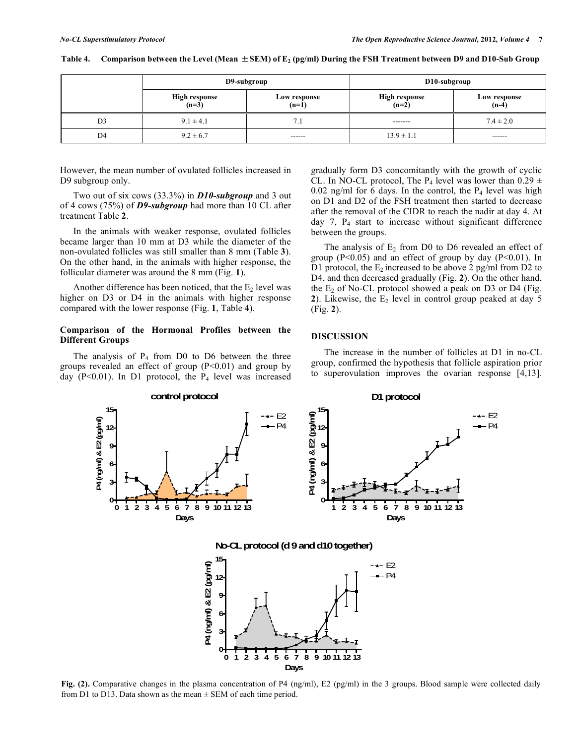|                | D9-subgroup              |                         | D10-subgroup             |                         |
|----------------|--------------------------|-------------------------|--------------------------|-------------------------|
|                | High response<br>$(n=3)$ | Low response<br>$(n=1)$ | High response<br>$(n=2)$ | Low response<br>$(n-4)$ |
| D <sub>3</sub> | $9.1 \pm 4.1$            | $7_{.1}$                | -------                  | $7.4 \pm 2.0$           |
| D4             | $9.2 \pm 6.7$            | ------                  | $13.9 \pm 1.1$           | ------                  |

## Table 4. Comparison between the Level (Mean  $\pm$  SEM) of E<sub>2</sub> (pg/ml) During the FSH Treatment between D9 and D10-Sub Group

However, the mean number of ovulated follicles increased in D9 subgroup only.

Two out of six cows (33.3%) in *D10-subgroup* and 3 out of 4 cows (75%) of *D9-subgroup* had more than 10 CL after treatment Table **2**.

In the animals with weaker response, ovulated follicles became larger than 10 mm at D3 while the diameter of the non-ovulated follicles was still smaller than 8 mm (Table **3**). On the other hand, in the animals with higher response, the follicular diameter was around the 8 mm (Fig. **1**).

Another difference has been noticed, that the  $E<sub>2</sub>$  level was higher on D3 or D4 in the animals with higher response compared with the lower response (Fig. **1**, Table **4**).

# **Comparison of the Hormonal Profiles between the Different Groups**

The analysis of  $P_4$  from D0 to D6 between the three groups revealed an effect of group  $(P<0.01)$  and group by day (P<0.01). In D1 protocol, the  $P_4$  level was increased gradually form D3 concomitantly with the growth of cyclic CL. In NO-CL protocol, The P<sub>4</sub> level was lower than  $0.29 \pm$ 0.02 ng/ml for 6 days. In the control, the  $P_4$  level was high on D1 and D2 of the FSH treatment then started to decrease after the removal of the CIDR to reach the nadir at day 4. At day 7, P4 start to increase without significant difference between the groups.

The analysis of  $E_2$  from D0 to D6 revealed an effect of group ( $P<0.05$ ) and an effect of group by day ( $P<0.01$ ). In D1 protocol, the  $E_2$  increased to be above 2 pg/ml from D2 to D4, and then decreased gradually (Fig. **2**). On the other hand, the  $E_2$  of No-CL protocol showed a peak on D3 or D4 (Fig. 2). Likewise, the  $E_2$  level in control group peaked at day 5 (Fig. **2**).

# **DISCUSSION**

The increase in the number of follicles at D1 in no-CL group, confirmed the hypothesis that follicle aspiration prior to superovulation improves the ovarian response [4,13].



**Fig. (2).** Comparative changes in the plasma concentration of P4 (ng/ml), E2 (pg/ml) in the 3 groups. Blood sample were collected daily from D1 to D13. Data shown as the mean  $\pm$  SEM of each time period.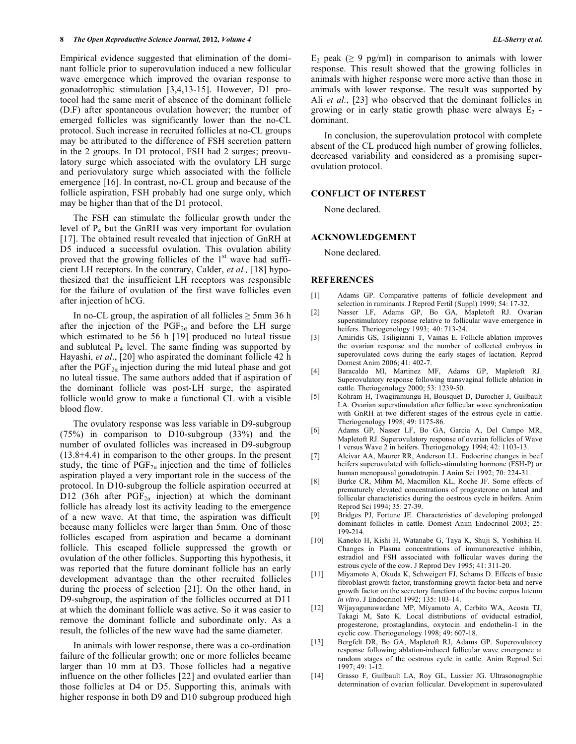Empirical evidence suggested that elimination of the dominant follicle prior to superovulation induced a new follicular wave emergence which improved the ovarian response to gonadotrophic stimulation [3,4,13-15]. However, D1 protocol had the same merit of absence of the dominant follicle (D.F) after spontaneous ovulation however; the number of emerged follicles was significantly lower than the no-CL protocol. Such increase in recruited follicles at no-CL groups may be attributed to the difference of FSH secretion pattern in the 2 groups. In D1 protocol, FSH had 2 surges; preovulatory surge which associated with the ovulatory LH surge and periovulatory surge which associated with the follicle emergence [16]. In contrast, no-CL group and because of the follicle aspiration, FSH probably had one surge only, which may be higher than that of the D1 protocol.

The FSH can stimulate the follicular growth under the level of P4 but the GnRH was very important for ovulation [17]. The obtained result revealed that injection of GnRH at D5 induced a successful ovulation. This ovulation ability proved that the growing follicles of the  $1<sup>st</sup>$  wave had sufficient LH receptors. In the contrary, Calder, *et al.,* [18] hypothesized that the insufficient LH receptors was responsible for the failure of ovulation of the first wave follicles even after injection of hCG.

In no-CL group, the aspiration of all follicles  $\geq 5$ mm 36 h after the injection of the  $PGF_{2\alpha}$  and before the LH surge which estimated to be 56 h [19] produced no luteal tissue and subluteal  $P_4$  level. The same finding was supported by Hayashi, *et al*., [20] who aspirated the dominant follicle 42 h after the  $PGF_{2\alpha}$  injection during the mid luteal phase and got no luteal tissue. The same authors added that if aspiration of the dominant follicle was post-LH surge, the aspirated follicle would grow to make a functional CL with a visible blood flow.

The ovulatory response was less variable in D9-subgroup (75%) in comparison to D10-subgroup (33%) and the number of ovulated follicles was increased in D9-subgroup (13.8±4.4) in comparison to the other groups. In the present study, the time of  $PGF_{2\alpha}$  injection and the time of follicles aspiration played a very important role in the success of the protocol. In D10-subgroup the follicle aspiration occurred at D12 (36h after  $PGF_{2\alpha}$  injection) at which the dominant follicle has already lost its activity leading to the emergence of a new wave. At that time, the aspiration was difficult because many follicles were larger than 5mm. One of those follicles escaped from aspiration and became a dominant follicle. This escaped follicle suppressed the growth or ovulation of the other follicles. Supporting this hypothesis, it was reported that the future dominant follicle has an early development advantage than the other recruited follicles during the process of selection [21]. On the other hand, in D9-subgroup, the aspiration of the follicles occurred at D11 at which the dominant follicle was active. So it was easier to remove the dominant follicle and subordinate only. As a result, the follicles of the new wave had the same diameter.

In animals with lower response, there was a co-ordination failure of the follicular growth; one or more follicles became larger than 10 mm at D3. Those follicles had a negative influence on the other follicles [22] and ovulated earlier than those follicles at D4 or D5. Supporting this, animals with higher response in both D9 and D10 subgroup produced high E<sub>2</sub> peak ( $\geq$  9 pg/ml) in comparison to animals with lower response. This result showed that the growing follicles in animals with higher response were more active than those in animals with lower response. The result was supported by Ali *et al.*, [23] who observed that the dominant follicles in growing or in early static growth phase were always  $E_2$  dominant.

In conclusion, the superovulation protocol with complete absent of the CL produced high number of growing follicles, decreased variability and considered as a promising superovulation protocol.

#### **CONFLICT OF INTEREST**

None declared.

## **ACKNOWLEDGEMENT**

None declared.

## **REFERENCES**

- [1] Adams GP. Comparative patterns of follicle development and selection in ruminants. J Reprod Fertil (Suppl) 1999; 54: 17-32.
- [2] Nasser LF, Adams GP, Bo GA, Mapletoft RJ. Ovarian superstimulatory response relative to follicular wave emergence in heifers. Theriogenology 1993; 40: 713-24.
- [3] Amiridis GS, Tsiligianni T, Vainas E. Follicle ablation improves the ovarian response and the number of collected embryos in superovulated cows during the early stages of lactation. Reprod Domest Anim 2006; 41: 402-7.
- [4] Baracaldo MI, Martinez MF, Adams GP, Mapletoft RJ. Superovulatory response following transvaginal follicle ablation in cattle. Theriogenology 2000; 53: 1239-50.
- [5] Kohram H, Twagiramungu H, Bousquet D, Durocher J, Guilbault LA. Ovarian superstimulation after follicular wave synchronization with GnRH at two different stages of the estrous cycle in cattle. Theriogenology 1998; 49: 1175-86.
- [6] Adams GP, Nasser LF, Bo GA, Garcia A, Del Campo MR, Mapletoft RJ. Superovulatory response of ovarian follicles of Wave 1 versus Wave 2 in heifers. Theriogenology 1994; 42: 1103-13.
- [7] Alcivar AA, Maurer RR, Anderson LL. Endocrine changes in beef heifers superovulated with follicle-stimulating hormone (FSH-P) or human menopausal gonadotropin. J Anim Sci 1992; 70: 224-31.
- [8] Burke CR, Mihm M, Macmillon KL, Roche JF. Some effects of prematurely elevated concentrations of progesterone on luteal and follicular characteristics during the oestrous cycle in heifers. Anim Reprod Sci 1994; 35: 27-39.
- [9] Bridges PJ, Fortune JE. Characteristics of developing prolonged dominant follicles in cattle. Domest Anim Endocrinol 2003; 25: 199-214.
- [10] Kaneko H, Kishi H, Watanabe G, Taya K, Shuji S, Yoshihisa H. Changes in Plasma concentrations of immunoreactive inhibin, estradiol and FSH associated with follicular waves during the estrous cycle of the cow. J Reprod Dev 1995; 41: 311-20.
- [11] Miyamoto A, Okuda K, Schweigert FJ, Schams D. Effects of basic fibroblast growth factor, transforming growth factor-beta and nerve growth factor on the secretory function of the bovine corpus luteum *in vitro*. J Endocrinol 1992; 135: 103-14.
- [12] Wijayagunawardane MP, Miyamoto A, Cerbito WA, Acosta TJ, Takagi M, Sato K. Local distributions of oviductal estradiol, progesterone, prostaglandins, oxytocin and endothelin-1 in the cyclic cow. Theriogenology 1998; 49: 607-18.
- [13] Bergfelt DR, Bo GA, Mapletoft RJ, Adams GP. Superovulatory response following ablation-induced follicular wave emergence at random stages of the oestrous cycle in cattle. Anim Reprod Sci 1997; 49: 1-12.
- [14] Grasso F, Guilbault LA, Roy GL, Lussier JG. Ultrasonographic determination of ovarian follicular. Development in superovulated